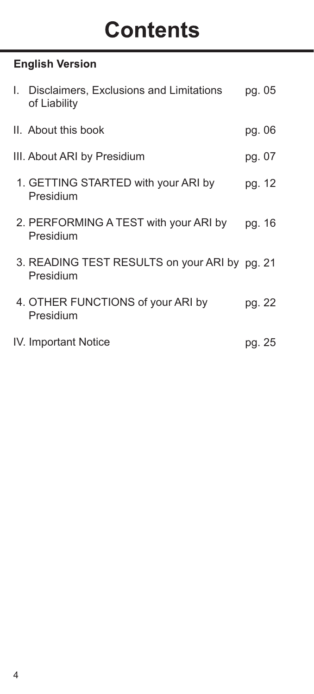# **Contents**

## **English Version**

| I. | Disclaimers, Exclusions and Limitations<br>of Liability    | pg. 05 |  |
|----|------------------------------------------------------------|--------|--|
|    | II. About this book                                        | pg. 06 |  |
|    | III. About ARI by Presidium                                | pg. 07 |  |
|    | 1. GETTING STARTED with your ARI by<br>Presidium           | pg. 12 |  |
|    | 2. PERFORMING A TEST with your ARI by<br>Presidium         | pg. 16 |  |
|    | 3. READING TEST RESULTS on your ARI by pg. 21<br>Presidium |        |  |
|    | 4. OTHER FUNCTIONS of your ARI by<br>Presidium             | pg. 22 |  |
|    | IV. Important Notice                                       | pg. 25 |  |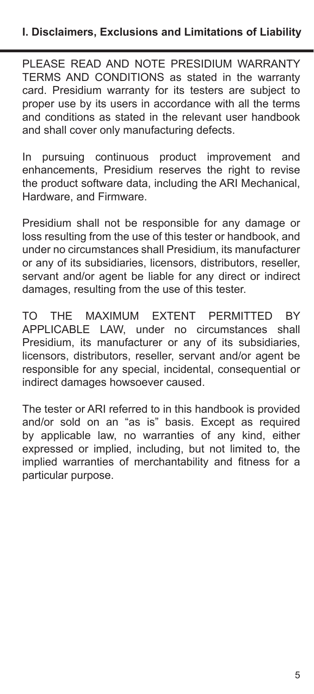PLEASE READ AND NOTE PRESIDIUM WARRANTY TERMS AND CONDITIONS as stated in the warranty card. Presidium warranty for its testers are subject to proper use by its users in accordance with all the terms and conditions as stated in the relevant user handbook and shall cover only manufacturing defects.

In pursuing continuous product improvement and enhancements, Presidium reserves the right to revise the product software data, including the ARI Mechanical, Hardware, and Firmware.

Presidium shall not be responsible for any damage or loss resulting from the use of this tester or handbook, and under no circumstances shall Presidium, its manufacturer or any of its subsidiaries, licensors, distributors, reseller servant and/or agent be liable for any direct or indirect damages, resulting from the use of this tester.

TO THE MAXIMUM EXTENT PERMITTED BY APPLICABLE LAW, under no circumstances shall Presidium, its manufacturer or any of its subsidiaries, licensors, distributors, reseller, servant and/or agent be responsible for any special, incidental, consequential or indirect damages howsoever caused.

The tester or ARI referred to in this handbook is provided and/or sold on an "as is" basis. Except as required by applicable law, no warranties of any kind, either expressed or implied, including, but not limited to, the implied warranties of merchantability and fitness for a particular purpose.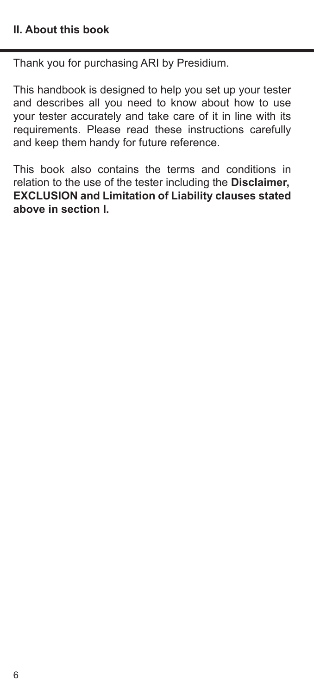Thank you for purchasing ARI by Presidium.

This handbook is designed to help you set up your tester and describes all you need to know about how to use your tester accurately and take care of it in line with its requirements. Please read these instructions carefully and keep them handy for future reference.

This book also contains the terms and conditions in relation to the use of the tester including the **Disclaimer, EXCLUSION and Limitation of Liability clauses stated above in section I.**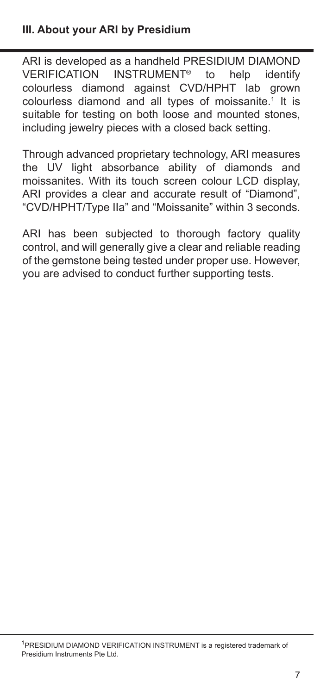ARI is developed as a handheld PRESIDIUM DIAMOND<br>VERIFICATION INSTRUMENT<sup>®</sup> to help identify VERIFICATION INSTRUMENT<sup>®</sup> colourless diamond against CVD/HPHT lab grown colourless diamond and all types of moissanite.1 It is suitable for testing on both loose and mounted stones. including jewelry pieces with a closed back setting.

Through advanced proprietary technology, ARI measures the UV light absorbance ability of diamonds and moissanites. With its touch screen colour LCD display, ARI provides a clear and accurate result of "Diamond", "CVD/HPHT/Type IIa" and "Moissanite" within 3 seconds.

ARI has been subjected to thorough factory quality control, and will generally give a clear and reliable reading of the gemstone being tested under proper use. However, you are advised to conduct further supporting tests.

<sup>1</sup> PRESIDIUM DIAMOND VERIFICATION INSTRUMENT is a registered trademark of Presidium Instruments Pte Ltd.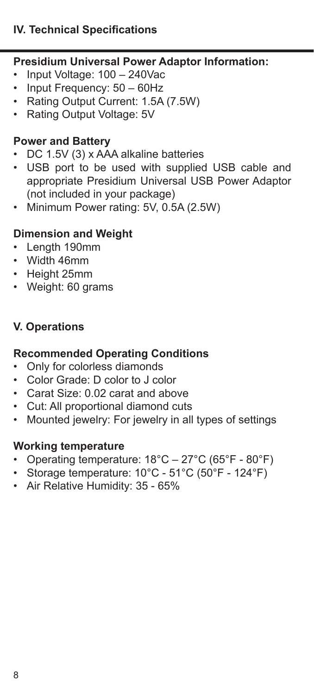#### **IV. Technical Specifications**

## **Presidium Universal Power Adaptor Information:**

- Input Voltage: 100 240Vac
- Input Frequency: 50 60Hz
- Rating Output Current: 1.5A (7.5W)
- Rating Output Voltage: 5V

#### **Power and Battery**

- DC 1.5V (3) x AAA alkaline batteries
- USB port to be used with supplied USB cable and appropriate Presidium Universal USB Power Adaptor (not included in your package)
- Minimum Power rating: 5V, 0.5A (2.5W)

## **Dimension and Weight**

- Length 190mm
- Width 46mm
- Height 25mm
- Weight: 60 grams

#### **V. Operations**

#### **Recommended Operating Conditions**

- Only for colorless diamonds
- Color Grade: D color to J color
- Carat Size: 0.02 carat and above
- Cut: All proportional diamond cuts
- Mounted jewelry: For jewelry in all types of settings

## **Working temperature**

- Operating temperature: 18°C 27°C (65°F 80°F)
- Storage temperature: 10°C 51°C (50°F 124°F)
- Air Relative Humidity: 35 65%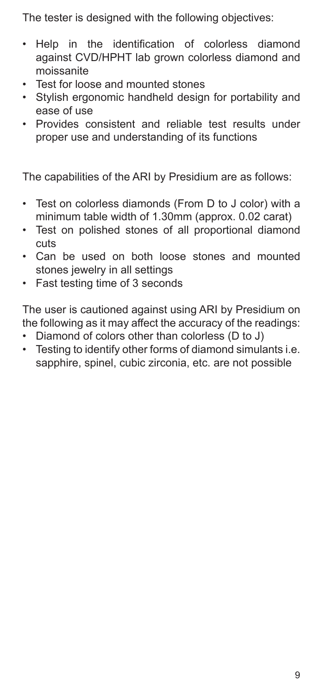The tester is designed with the following objectives:

- Help in the identification of colorless diamond against CVD/HPHT lab grown colorless diamond and moissanite
- Test for loose and mounted stones
- Stylish ergonomic handheld design for portability and ease of use
- Provides consistent and reliable test results under proper use and understanding of its functions

The capabilities of the ARI by Presidium are as follows:

- Test on colorless diamonds (From D to J color) with a minimum table width of 1.30mm (approx. 0.02 carat)
- Test on polished stones of all proportional diamond cuts
- Can be used on both loose stones and mounted stones jewelry in all settings
- Fast testing time of 3 seconds

The user is cautioned against using ARI by Presidium on the following as it may affect the accuracy of the readings:

- Diamond of colors other than colorless (D to J)
- Testing to identify other forms of diamond simulants i.e. sapphire, spinel, cubic zirconia, etc. are not possible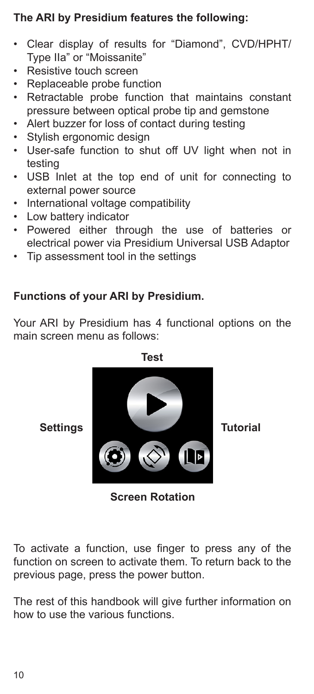### **The ARI by Presidium features the following:**

- Clear display of results for "Diamond", CVD/HPHT/ Type IIa" or "Moissanite"
- Resistive touch screen
- Replaceable probe function
- Retractable probe function that maintains constant pressure between optical probe tip and gemstone
- Alert buzzer for loss of contact during testing
- Stylish ergonomic design
- User-safe function to shut off UV light when not in testing
- USB Inlet at the top end of unit for connecting to external power source
- International voltage compatibility
- Low battery indicator
- Powered either through the use of batteries or electrical power via Presidium Universal USB Adaptor
- Tip assessment tool in the settings

#### **Functions of your ARI by Presidium.**

Your ARI by Presidium has 4 functional options on the main screen menu as follows:



**Screen Rotation**

To activate a function, use finger to press any of the function on screen to activate them. To return back to the previous page, press the power button.

The rest of this handbook will give further information on how to use the various functions.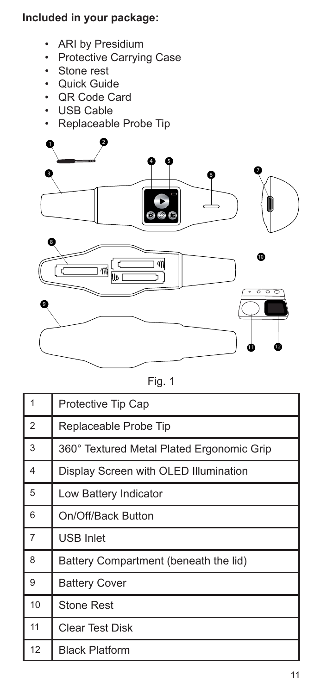## **Included in your package:**

- ARI by Presidium
- Protective Carrying Case
- Stone rest
- Quick Guide
- QR Code Card
- USB Cable
- Replaceable Probe Tip



|--|--|

| $\overline{1}$          | Protective Tip Cap                        |
|-------------------------|-------------------------------------------|
| $\overline{2}$          | Replaceable Probe Tip                     |
| 3                       | 360° Textured Metal Plated Ergonomic Grip |
| $\overline{\mathbf{4}}$ | Display Screen with OLED Illumination     |
| 5                       | Low Battery Indicator                     |
| 6                       | On/Off/Back Button                        |
| $\overline{7}$          | <b>USB Inlet</b>                          |
| 8                       | Battery Compartment (beneath the lid)     |
| 9                       | <b>Battery Cover</b>                      |
| 10                      | <b>Stone Rest</b>                         |
| 11                      | Clear Test Disk                           |
| 12                      | <b>Black Platform</b>                     |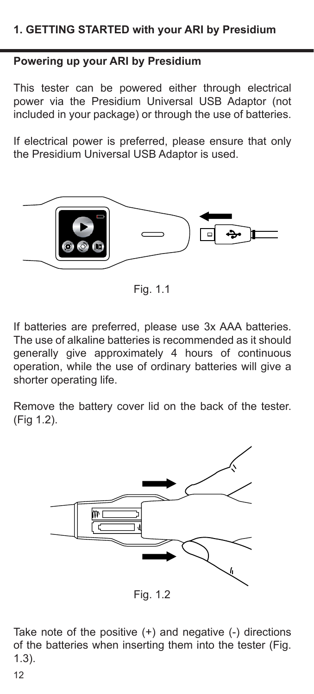## **Powering up your ARI by Presidium**

This tester can be powered either through electrical power via the Presidium Universal USB Adaptor (not included in your package) or through the use of batteries.

If electrical power is preferred, please ensure that only the Presidium Universal USB Adaptor is used.



Fig. 1.1

If batteries are preferred, please use 3x AAA batteries. The use of alkaline batteries is recommended as it should generally give approximately 4 hours of continuous operation, while the use of ordinary batteries will give a shorter operating life.

Remove the battery cover lid on the back of the tester. (Fig 1.2).



Fig. 1.2

Take note of the positive (+) and negative (-) directions of the batteries when inserting them into the tester (Fig. 1.3).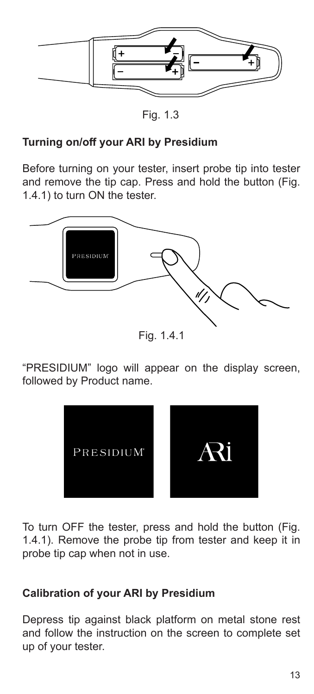

Fig. 1.3

#### **Turning on/off your ARI by Presidium**

Before turning on your tester, insert probe tip into tester and remove the tip cap. Press and hold the button (Fig. 1.4.1) to turn ON the tester.



Fig. 1.4.1

"PRESIDIUM" logo will appear on the display screen, followed by Product name.



To turn OFF the tester, press and hold the button (Fig. 1.4.1). Remove the probe tip from tester and keep it in probe tip cap when not in use.

#### **Calibration of your ARI by Presidium**

Depress tip against black platform on metal stone rest and follow the instruction on the screen to complete set up of your tester.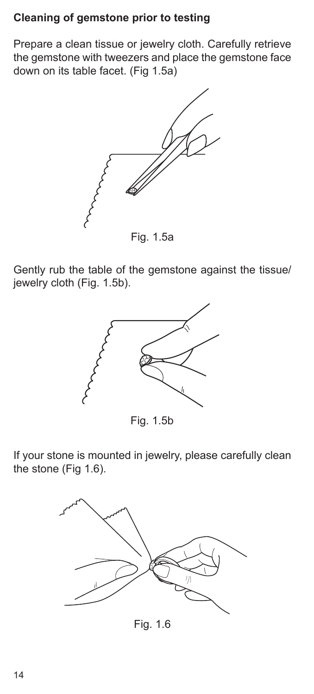#### **Cleaning of gemstone prior to testing**

Prepare a clean tissue or jewelry cloth. Carefully retrieve the gemstone with tweezers and place the gemstone face down on its table facet. (Fig 1.5a)



Fig. 1.5a

Gently rub the table of the gemstone against the tissue/ jewelry cloth (Fig. 1.5b).



Fig. 1.5b

If your stone is mounted in jewelry, please carefully clean the stone (Fig 1.6).



Fig. 1.6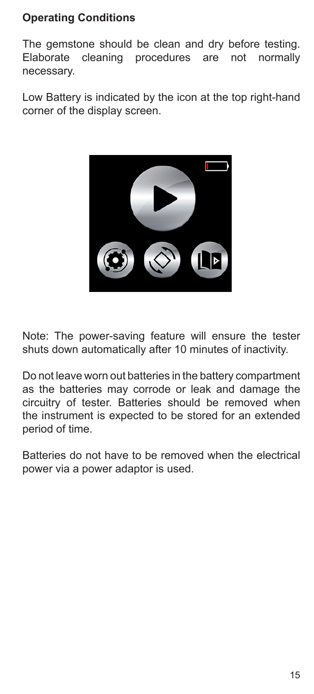## **Operating Conditions**

The gemstone should be clean and dry before testing.<br>Elaborate cleaning procedures are not normally Elaborate cleaning procedures necessary.

Low Battery is indicated by the icon at the top right-hand corner of the display screen.



Note: The power-saving feature will ensure the tester shuts down automatically after 10 minutes of inactivity.

Do not leave worn out batteries in the battery compartment as the batteries may corrode or leak and damage the circuitry of tester. Batteries should be removed when the instrument is expected to be stored for an extended period of time.

Batteries do not have to be removed when the electrical power via a power adaptor is used.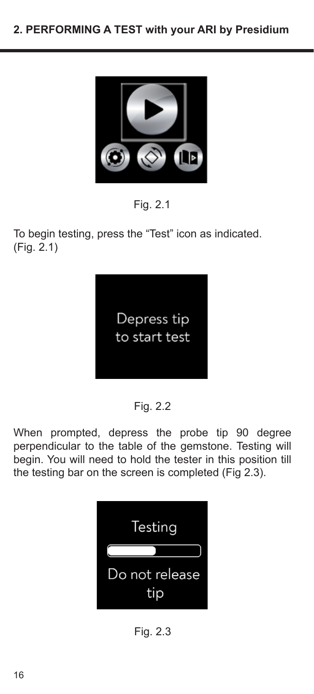

Fig. 2.1

To begin testing, press the "Test" icon as indicated. (Fig. 2.1)



Fig. 2.2

When prompted, depress the probe tip 90 degree perpendicular to the table of the gemstone. Testing will begin. You will need to hold the tester in this position till the testing bar on the screen is completed (Fig 2.3).



Fig. 2.3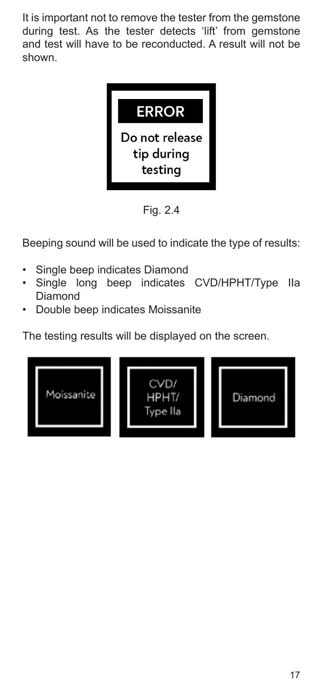It is important not to remove the tester from the gemstone during test. As the tester detects 'lift' from gemstone and test will have to be reconducted. A result will not be shown.



Fig. 2.4

Beeping sound will be used to indicate the type of results:

- Single beep indicates Diamond
- Single long beep indicates CVD/HPHT/Type IIa Diamond
- Double beep indicates Moissanite

The testing results will be displayed on the screen.

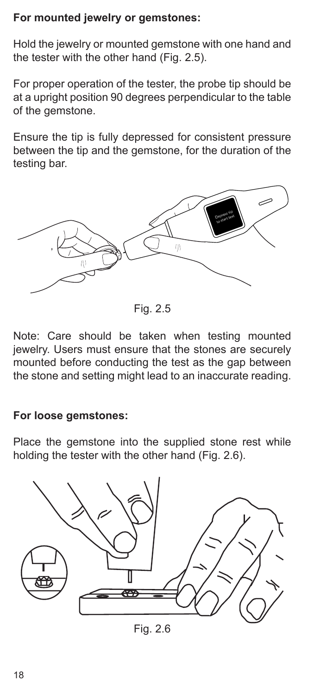## **For mounted jewelry or gemstones:**

Hold the jewelry or mounted gemstone with one hand and the tester with the other hand (Fig. 2.5).

For proper operation of the tester, the probe tip should be at a upright position 90 degrees perpendicular to the table of the gemstone.

Ensure the tip is fully depressed for consistent pressure between the tip and the gemstone, for the duration of the testing bar.



Fig. 2.5

Note: Care should be taken when testing mounted jewelry. Users must ensure that the stones are securely mounted before conducting the test as the gap between the stone and setting might lead to an inaccurate reading.

#### **For loose gemstones:**

Place the gemstone into the supplied stone rest while holding the tester with the other hand (Fig. 2.6).



Fig. 2.6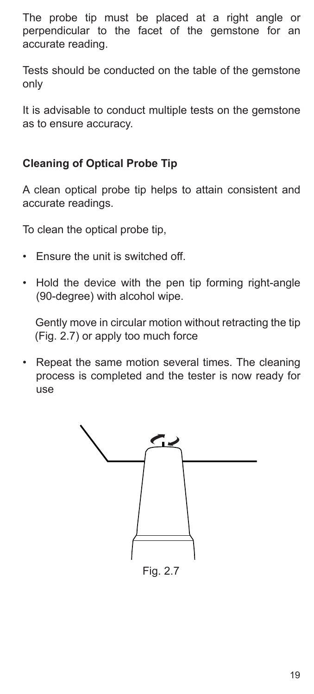The probe tip must be placed at a right angle or perpendicular to the facet of the gemstone for an accurate reading.

Tests should be conducted on the table of the gemstone only

It is advisable to conduct multiple tests on the gemstone as to ensure accuracy.

## **Cleaning of Optical Probe Tip**

A clean optical probe tip helps to attain consistent and accurate readings.

To clean the optical probe tip,

- Ensure the unit is switched off.
- Hold the device with the pen tip forming right-angle (90-degree) with alcohol wipe.

 Gently move in circular motion without retracting the tip (Fig. 2.7) or apply too much force

• Repeat the same motion several times. The cleaning process is completed and the tester is now ready for use

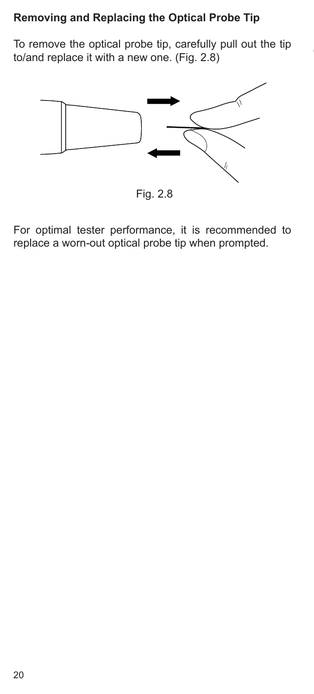## **Removing and Replacing the Optical Probe Tip**

To remove the optical probe tip, carefully pull out the tip to/and replace it with a new one. (Fig. 2.8)



Fig. 2.8

For optimal tester performance, it is recommended to replace a worn-out optical probe tip when prompted.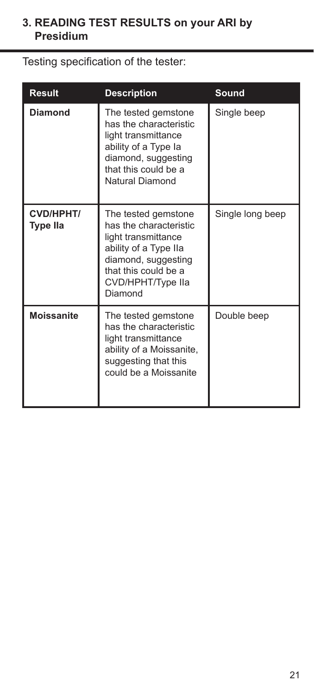## **3. READING TEST RESULTS on your ARI by Presidium**

Testing specification of the tester:

| Result                | <b>Description</b>                                                                                                                                                           | Sound            |
|-----------------------|------------------------------------------------------------------------------------------------------------------------------------------------------------------------------|------------------|
| Diamond               | The tested gemstone<br>has the characteristic<br>light transmittance<br>ability of a Type la<br>diamond, suggesting<br>that this could be a<br>Natural Diamond               | Single beep      |
| CVD/HPHT/<br>Type IIa | The tested gemstone<br>has the characteristic<br>light transmittance<br>ability of a Type IIa<br>diamond, suggesting<br>that this could be a<br>CVD/HPHT/Type IIa<br>Diamond | Single long beep |
| Moissanite            | The tested gemstone<br>has the characteristic<br>light transmittance<br>ability of a Moissanite,<br>suggesting that this<br>could be a Moissanite                            | Double beep      |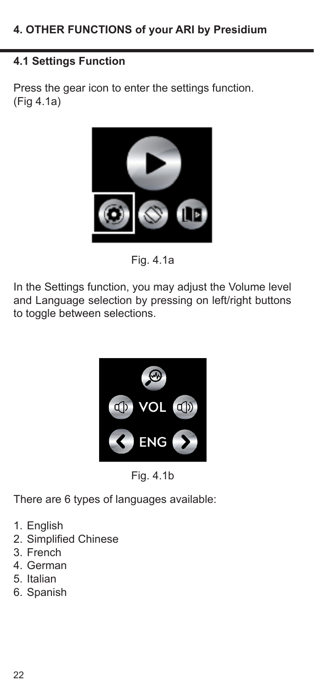## **4.1 Settings Function**

Press the gear icon to enter the settings function. (Fig 4.1a)



Fig. 4.1a

In the Settings function, you may adjust the Volume level and Language selection by pressing on left/right buttons to toggle between selections.



Fig. 4.1b

There are 6 types of languages available:

- 1. English
- 2. Simplified Chinese
- 3. French
- 4. German
- 5. Italian
- 6. Spanish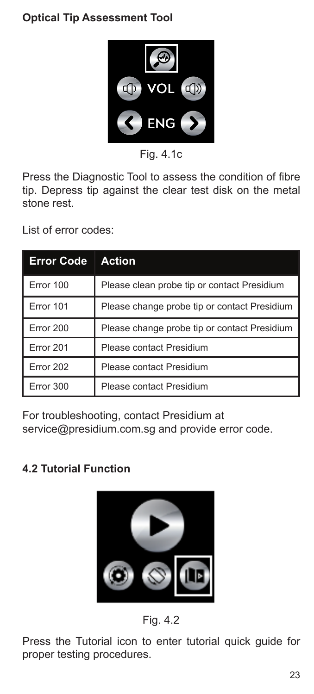## **Optical Tip Assessment Tool**



Fig.  $4.1c$ 

Press the Diagnostic Tool to assess the condition of fibre tip. Depress tip against the clear test disk on the metal stone rest.

List of error codes:

| <b>Error Code</b> | <b>Action</b>                                |
|-------------------|----------------------------------------------|
| Error 100         | Please clean probe tip or contact Presidium  |
| Error 101         | Please change probe tip or contact Presidium |
| Error 200         | Please change probe tip or contact Presidium |
| Error 201         | Please contact Presidium                     |
| Error 202         | Please contact Presidium                     |
| Error 300         | Please contact Presidium                     |

For troubleshooting, contact Presidium at service@presidium.com.sg and provide error code.

## **4.2 Tutorial Function**



Fig. 4.2

Press the Tutorial icon to enter tutorial quick guide for proper testing procedures.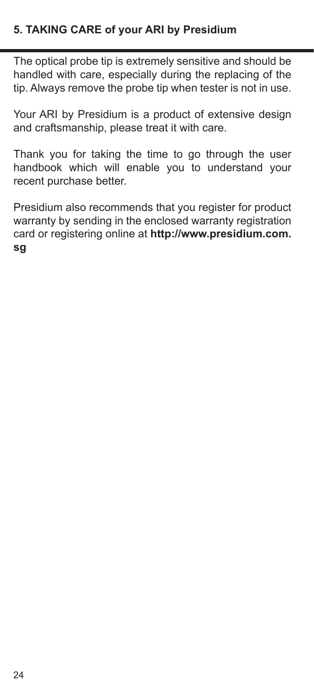#### **5. TAKING CARE of your ARI by Presidium**

The optical probe tip is extremely sensitive and should be handled with care, especially during the replacing of the tip. Always remove the probe tip when tester is not in use.

Your ARI by Presidium is a product of extensive design and craftsmanship, please treat it with care.

Thank you for taking the time to go through the user handbook which will enable you to understand your recent purchase better.

Presidium also recommends that you register for product warranty by sending in the enclosed warranty registration card or registering online at **http://www.presidium.com. sg**